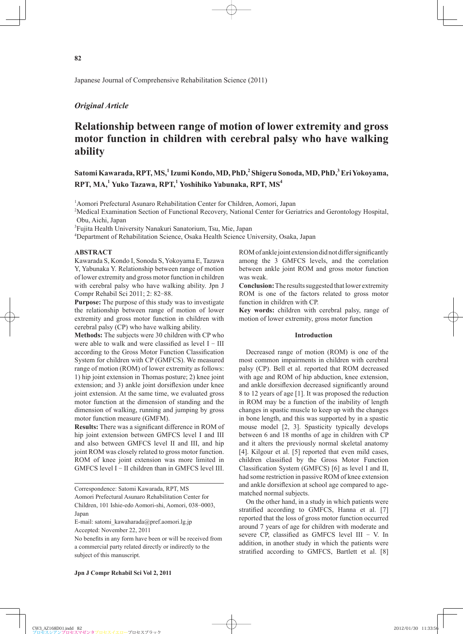# *Original Article*

# **Relationship between range of motion of lower extremity and gross motor function in children with cerebral palsy who have walking ability**

# **Satomi Kawarada, RPT, MS,<sup>1</sup> Izumi Kondo, MD, PhD,<sup>2</sup> Shigeru Sonoda, MD, PhD,<sup>3</sup> Eri Yokoyama, RPT, MA,<sup>1</sup> Yuko Tazawa, RPT,<sup>1</sup> Yoshihiko Yabunaka, RPT, MS<sup>4</sup>**

<sup>1</sup> Aomori Prefectural Asunaro Rehabilitation Center for Children, Aomori, Japan

2 Medical Examination Section of Functional Recovery, National Center for Geriatrics and Gerontology Hospital, Obu, Aichi, Japan

<sup>3</sup>Fujita Health University Nanakuri Sanatorium, Tsu, Mie, Japan

4 Department of Rehabilitation Science, Osaka Health Science University, Osaka, Japan

### **ABSTRACT**

Kawarada S, Kondo I, Sonoda S, Yokoyama E, Tazawa Y, Yabunaka Y. Relationship between range of motion of lower extremity and gross motor function in children with cerebral palsy who have walking ability. Jpn J Compr Rehabil Sci 2011; 2: 82-88.

**Purpose:** The purpose of this study was to investigate the relationship between range of motion of lower extremity and gross motor function in children with cerebral palsy (CP) who have walking ability.

**Methods:** The subjects were 30 children with CP who were able to walk and were classified as level  $I - III$ according to the Gross Motor Function Classification System for children with CP (GMFCS). We measured range of motion (ROM) of lower extremity as follows: 1) hip joint extension in Thomas posture; 2) knee joint extension; and 3) ankle joint dorsiflexion under knee joint extension. At the same time, we evaluated gross motor function at the dimension of standing and the dimension of walking, running and jumping by gross motor function measure (GMFM).

**Results:** There was a significant difference in ROM of hip joint extension between GMFCS level I and III and also between GMFCS level II and III, and hip joint ROM was closely related to gross motor function. ROM of knee joint extension was more limited in GMFCS level I - II children than in GMFCS level III.

ROM of ankle joint extension did not differ significantly among the 3 GMFCS levels, and the correlation between ankle joint ROM and gross motor function was weak.

**Conclusion:** The results suggested that lower extremity ROM is one of the factors related to gross motor function in children with CP.

**Key words:** children with cerebral palsy, range of motion of lower extremity, gross motor function

## **Introduction**

Decreased range of motion (ROM) is one of the most common impairments in children with cerebral palsy (CP). Bell et al. reported that ROM decreased with age and ROM of hip abduction, knee extension, and ankle dorsiflexion decreased significantly around 8 to 12 years of age [1]. It was proposed the reduction in ROM may be a function of the inability of length changes in spastic muscle to keep up with the changes in bone length, and this was supported by in a spastic mouse model [2, 3]. Spasticity typically develops between 6 and 18 months of age in children with CP and it alters the previously normal skeletal anatomy [4]. Kilgour et al. [5] reported that even mild cases, children classified by the Gross Motor Function Classification System (GMFCS) [6] as level I and II, had some restriction in passive ROM of knee extension and ankle dorsiflexion at school age compared to agematched normal subjects.

On the other hand, in a study in which patients were stratified according to GMFCS, Hanna et al. [7] reported that the loss of gross motor function occurred around 7 years of age for children with moderate and severe CP, classified as GMFCS level III - V. In addition, in another study in which the patients were stratified according to GMFCS, Bartlett et al. [8]

Correspondence: Satomi Kawarada, RPT, MS Aomori Prefectural Asunaro Rehabilitation Center for Children, 101 Ishie-edo Aomori-shi, Aomori, 038-0003, Japan

E-mail: satomi\_kawaharada@pref.aomori.lg.jp Accepted: November 22, 2011

No benefits in any form have been or will be received from a commercial party related directly or indirectly to the subject of this manuscript.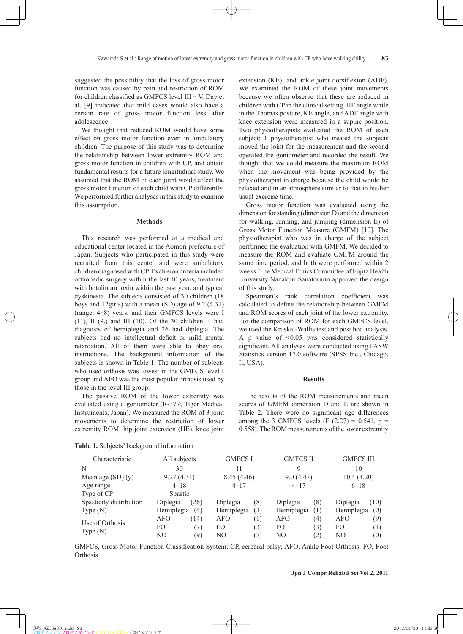suggested the possibility that the loss of gross motor function was caused by pain and restriction of ROM for children classified as GMFCS level III  $-$  V. Day et al. [9] indicated that mild cases would also have a certain rate of gross motor function loss after adolescence.

We thought that reduced ROM would have some effect on gross motor function even in ambulatory children. The purpose of this study was to determine the relationship between lower extremity ROM and gross motor function in children with CP, and obtain fundamental results for a future longitudinal study. We assumed that the ROM of each joint would affect the gross motor function of each child with CP differently. We performed further analyses in this study to examine this assumption.

#### **Methods**

This research was performed at a medical and educational center located in the Aomori prefecture of Japan. Subjects who participated in this study were recruited from this center and were ambulatory children diagnosed with CP. Exclusion criteria included orthopedic surgery within the last 10 years, treatment with botulinum toxin within the past year, and typical dyskinesia. The subjects consisted of 30 children (18 boys and 12girls) with a mean (SD) age of 9.2 (4.31) (range, 4-8) years, and their GMFCS levels were I (11), II (9,) and III (10). Of the 30 children, 4 had diagnosis of hemiplegia and 26 had diplegia. The subjects had no intellectual deficit or mild mental retardation. All of them were able to obey oral instructions. The background information of the subjects is shown in Table 1. The number of subjects who used orthosis was lowest in the GMFCS level I group and AFO was the most popular orthosis used by those in the level III group.

The passive ROM of the lower extremity was evaluated using a goniometer (R-377; Tiger Medical Instruments, Japan). We measured the ROM of 3 joint movements to determine the restriction of lower extremity ROM: hip joint extension (HE), knee joint extension (KE), and ankle joint dorsiflexion (ADF). We examined the ROM of these joint movements because we often observe that these are reduced in children with CP in the clinical setting. HE angle while in the Thomas posture, KE angle, and ADF angle with knee extension were measured in a supine position. Two physiotherapists evaluated the ROM of each subject; 1 physiotherapist who treated the subjects moved the joint for the measurement and the second operated the goniometer and recorded the result. We thought that we could measure the maximum ROM when the movement was being provided by the physiotherapist in charge because the child would be relaxed and in an atmosphere similar to that in his/her usual exercise time.

Gross motor function was evaluated using the dimension for standing (dimension D) and the dimension for walking, running, and jumping (dimension E) of Gross Motor Function Measure (GMFM) [10]. The physiotherapist who was in charge of the subject performed the evaluation with GMFM. We decided to measure the ROM and evaluate GMFM around the same time period, and both were performed within 2 weeks. The Medical Ethics Committee of Fujita Health University Nanakuri Sanatorium approved the design of this study.

Spearman's rank correlation coefficient was calculated to define the relationship between GMFM and ROM scores of each joint of the lower extremity. For the comparison of ROM for each GMFCS level, we used the Kruskal-Wallis test and post hoc analysis. A p value of <0.05 was considered statistically significant. All analyses were conducted using PASW Statistics version 17.0 software (SPSS Inc., Chicago, Il, USA).

#### **Results**

The results of the ROM measurements and mean scores of GMFM dimension D and E are shown in Table 2. There were no significant age differences among the 3 GMFCS levels (F  $(2,27) = 0.541$ , p = 0.558). The ROM measurements of the lower extremity

**Table 1.** Subjects' background information

GMFCS, Gross Motor Function Classification System; CP, cerebral palsy; AFO, Ankle Foot Orthosis; FO, Foot **Orthosis** 

Characteristic All subjects GMFCS I GMFCS II GMFCS III N 30 11 9 10 Mean age (SD) (y) 9.27 (4.31) 8.45 (4.46) 9.0 (4.47) 10.4 (4.20) Age range  $4-18$   $4-17$   $4-17$   $4-17$   $6-18$ Type of CP Spastic Spasticity distribution Type (N) Diplegia (26) Diplegia (8) Diplegia (8) Diplegia (10) Hemiplegia (4) Hemiplegia (3) Hemiplegia (1) Hemiplegia (0) Use of Orthosis Type (N) AFO (14) AFO (1) AFO (4) AFO (9) FO (7) FO (3) FO (3) FO (1) NO (9) NO (7) NO (2) NO (0)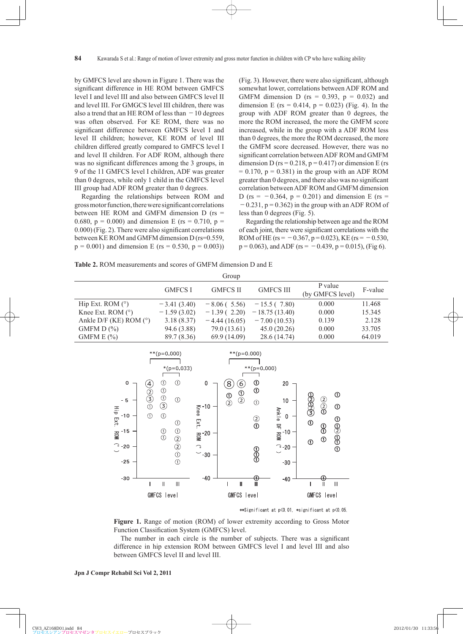by GMFCS level are shown in Figure 1. There was the significant difference in HE ROM between GMFCS level I and level III and also between GMFCS level II and level III. For GMGCS level III children, there was also a trend that an HE ROM of less than  $-10$  degrees was often observed. For KE ROM, there was no significant difference between GMFCS level I and level II children; however, KE ROM of level III children differed greatly compared to GMFCS level I and level II children. For ADF ROM, although there was no significant differences among the 3 groups, in 9 of the 11 GMFCS level I children, ADF was greater than 0 degrees, while only 1 child in the GMFCS level III group had ADF ROM greater than 0 degrees.

Regarding the relationships between ROM and gross motor function, there were significant correlations between HE ROM and GMFM dimension D (rs = 0.680,  $p = 0.000$  and dimension E (rs = 0.710,  $p =$  $(0.000)$  (Fig. 2). There were also significant correlations between KE ROM and GMFM dimension D (rs=0.559,  $p = 0.001$ ) and dimension E (rs = 0.530,  $p = 0.003$ )) (Fig. 3). However, there were also significant, although somewhat lower, correlations between ADF ROM and GMFM dimension D ( $rs = 0.393$ ,  $p = 0.032$ ) and dimension E (rs =  $0.414$ , p =  $0.023$ ) (Fig. 4). In the group with ADF ROM greater than 0 degrees, the more the ROM increased, the more the GMFM score increased, while in the group with a ADF ROM less than 0 degrees, the more the ROM decreased, the more the GMFM score decreased. However, there was no significant correlation between ADF ROM and GMFM dimension D ( $rs = 0.218$ ,  $p = 0.417$ ) or dimension E (rs  $= 0.170$ ,  $p = 0.381$ ) in the group with an ADF ROM greater than 0 degrees, and there also was no significant correlation between ADF ROM and GMFM dimension D (rs =  $-0.364$ , p = 0.201) and dimension E (rs =  $-0.231$ ,  $p = 0.362$ ) in the group with an ADF ROM of less than 0 degrees (Fig. 5).

Regarding the relationship between age and the ROM of each joint, there were significant correlations with the ROM of HE (rs =  $-0.367$ , p = 0.023), KE (rs =  $-0.530$ ,  $p = 0.063$ ), and ADF (rs = -0.439, p = 0.015), (Fig 6).

**Table 2.** ROM measurements and scores of GMFM dimension D and E

| Group                    |                |                 |                  |                             |         |
|--------------------------|----------------|-----------------|------------------|-----------------------------|---------|
|                          | <b>GMFCS I</b> | <b>GMFCS II</b> | <b>GMFCS III</b> | P value<br>(by GMFCS level) | F-value |
| Hip Ext. ROM $(°)$       | $-3.41(3.40)$  | $-8.06$ (5.56)  | $-15.5(7.80)$    | 0.000                       | 11.468  |
| Knee Ext. ROM $(°)$      | $-1.59(3.02)$  | $-1.39(2.20)$   | $-18.75(13.40)$  | 0.000                       | 15.345  |
| Ankle D/F (KE) ROM $(°)$ | 3.18(8.37)     | $-4.44(16.05)$  | $-7.00(10.53)$   | 0.139                       | 2.128   |
| GMFM $D(\%)$             | 94.6 (3.88)    | 79.0 (13.61)    | 45.0(20.26)      | 0.000                       | 33.705  |
| GMFM $E(\%)$             | 89.7 (8.36)    | 69.9(14.09)     | 28.6 (14.74)     | 0.000                       | 64.019  |



\*\*Significant at p<0.01, \*significant at p<0.05.

**Figure 1.** Range of motion (ROM) of lower extremity according to Gross Motor Function Classification System (GMFCS) level.

The number in each circle is the number of subjects. There was a significant difference in hip extension ROM between GMFCS level I and level III and also between GMFCS level II and level III.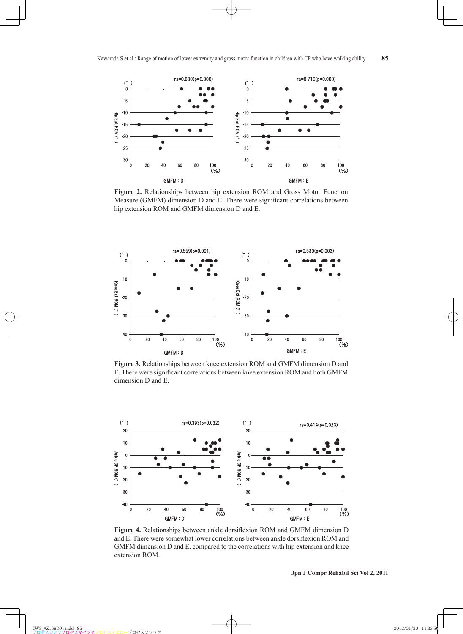

**Figure 2.** Relationships between hip extension ROM and Gross Motor Function Measure (GMFM) dimension D and E. There were significant correlations between hip extension ROM and GMFM dimension D and E.



**Figure 3.** Relationships between knee extension ROM and GMFM dimension D and E. There were significant correlations between knee extension ROM and both GMFM dimension D and E.



Figure 4. Relationships between ankle dorsiflexion ROM and GMFM dimension D and E. There were somewhat lower correlations between ankle dorsiflexion ROM and GMFM dimension D and E, compared to the correlations with hip extension and knee extension ROM.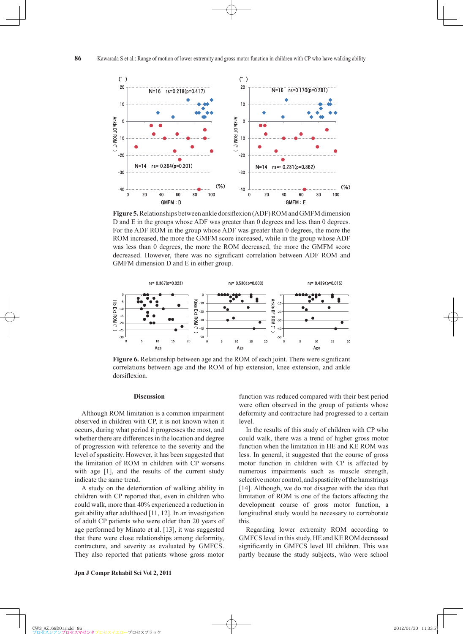

**Figure 5.** Relationships between ankle dorsiflexion (ADF) ROM and GMFM dimension D and E in the groups whose ADF was greater than 0 degrees and less than 0 degrees. For the ADF ROM in the group whose ADF was greater than 0 degrees, the more the ROM increased, the more the GMFM score increased, while in the group whose ADF was less than 0 degrees, the more the ROM decreased, the more the GMFM score decreased. However, there was no significant correlation between ADF ROM and GMFM dimension D and E in either group.



**Figure 6.** Relationship between age and the ROM of each joint. There were significant correlations between age and the ROM of hip extension, knee extension, and ankle dorsiflexion.

### **Discussion**

Although ROM limitation is a common impairment observed in children with CP, it is not known when it occurs, during what period it progresses the most, and whether there are differences in the location and degree of progression with reference to the severity and the level of spasticity. However, it has been suggested that the limitation of ROM in children with CP worsens with age [1], and the results of the current study indicate the same trend.

A study on the deterioration of walking ability in children with CP reported that, even in children who could walk, more than 40% experienced a reduction in gait ability after adulthood [11, 12]. In an investigation of adult CP patients who were older than 20 years of age performed by Minato et al. [13], it was suggested that there were close relationships among deformity, contracture, and severity as evaluated by GMFCS. They also reported that patients whose gross motor function was reduced compared with their best period were often observed in the group of patients whose deformity and contracture had progressed to a certain level.

In the results of this study of children with CP who could walk, there was a trend of higher gross motor function when the limitation in HE and KE ROM was less. In general, it suggested that the course of gross motor function in children with CP is affected by numerous impairments such as muscle strength, selective motor control, and spasticity of the hamstrings [14]. Although, we do not disagree with the idea that limitation of ROM is one of the factors affecting the development course of gross motor function, a longitudinal study would be necessary to corroborate this.

Regarding lower extremity ROM according to GMFCS level in this study, HE and KE ROM decreased significantly in GMFCS level III children. This was partly because the study subjects, who were school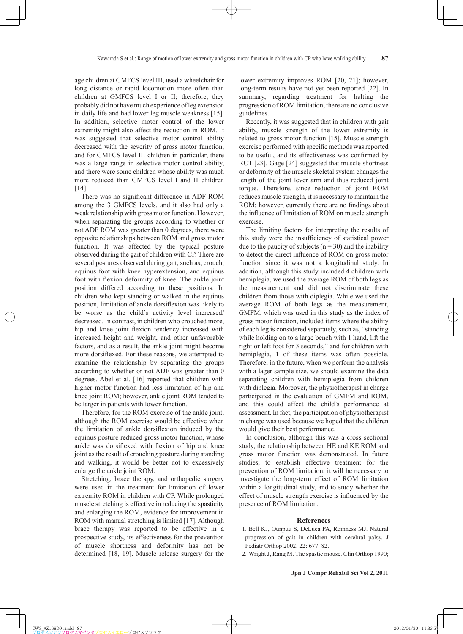age children at GMFCS level III, used a wheelchair for long distance or rapid locomotion more often than children at GMFCS level I or II; therefore, they probably did not have much experience of leg extension in daily life and had lower leg muscle weakness [15]. In addition, selective motor control of the lower extremity might also affect the reduction in ROM. It was suggested that selective motor control ability decreased with the severity of gross motor function, and for GMFCS level III children in particular, there was a large range in selective motor control ability, and there were some children whose ability was much more reduced than GMFCS level I and II children [14].

There was no significant difference in ADF ROM among the 3 GMFCS levels, and it also had only a weak relationship with gross motor function. However, when separating the groups according to whether or not ADF ROM was greater than 0 degrees, there were opposite relationships between ROM and gross motor function. It was affected by the typical posture observed during the gait of children with CP. There are several postures observed during gait, such as, crouch, equinus foot with knee hyperextension, and equinus foot with flexion deformity of knee. The ankle joint position differed according to these positions. In children who kept standing or walked in the equinus position, limitation of ankle dorsiflexion was likely to be worse as the child's activity level increased/ decreased. In contrast, in children who crouched more, hip and knee joint flexion tendency increased with increased height and weight, and other unfavorable factors, and as a result, the ankle joint might become more dorsiflexed. For these reasons, we attempted to examine the relationship by separating the groups according to whether or not ADF was greater than 0 degrees. Abel et al. [16] reported that children with higher motor function had less limitation of hip and knee joint ROM; however, ankle joint ROM tended to be larger in patients with lower function.

Therefore, for the ROM exercise of the ankle joint, although the ROM exercise would be effective when the limitation of ankle dorsiflexion induced by the equinus posture reduced gross motor function, whose ankle was dorsiflexed with flexion of hip and knee joint as the result of crouching posture during standing and walking, it would be better not to excessively enlarge the ankle joint ROM.

Stretching, brace therapy, and orthopedic surgery were used in the treatment for limitation of lower extremity ROM in children with CP. While prolonged muscle stretching is effective in reducing the spasticity and enlarging the ROM, evidence for improvement in ROM with manual stretching is limited [17]. Although brace therapy was reported to be effective in a prospective study, its effectiveness for the prevention of muscle shortness and deformity has not be determined [18, 19]. Muscle release surgery for the lower extremity improves ROM [20, 21]; however, long-term results have not yet been reported [22]. In summary, regarding treatment for halting the progression of ROM limitation, there are no conclusive guidelines.

Recently, it was suggested that in children with gait ability, muscle strength of the lower extremity is related to gross motor function [15]. Muscle strength exercise performed with specific methods was reported to be useful, and its effectiveness was confirmed by RCT [23]. Gage [24] suggested that muscle shortness or deformity of the muscle skeletal system changes the length of the joint lever arm and thus reduced joint torque. Therefore, since reduction of joint ROM reduces muscle strength, it is necessary to maintain the ROM; however, currently there are no findings about the influence of limitation of ROM on muscle strength exercise.

The limiting factors for interpreting the results of this study were the insufficiency of statistical power due to the paucity of subjects ( $n = 30$ ) and the inability to detect the direct influence of ROM on gross motor function since it was not a longitudinal study. In addition, although this study included 4 children with hemiplegia, we used the average ROM of both legs as the measurement and did not discriminate these children from those with diplegia. While we used the average ROM of both legs as the measurement, GMFM, which was used in this study as the index of gross motor function, included items where the ability of each leg is considered separately, such as, "standing while holding on to a large bench with 1 hand, lift the right or left foot for 3 seconds," and for children with hemiplegia, 1 of these items was often possible. Therefore, in the future, when we perform the analysis with a lager sample size, we should examine the data separating children with hemiplegia from children with diplegia. Moreover, the physiotherapist in charge participated in the evaluation of GMFM and ROM, and this could affect the child's performance at assessment. In fact, the participation of physiotherapist in charge was used because we hoped that the children would give their best performance.

In conclusion, although this was a cross sectional study, the relationship between HE and KE ROM and gross motor function was demonstrated. In future studies, to establish effective treatment for the prevention of ROM limitation, it will be necessary to investigate the long-term effect of ROM limitation within a longitudinal study, and to study whether the effect of muscle strength exercise is influenced by the presence of ROM limitation.

#### **References**

- 1 . Bell KJ, Ounpuu S, DeLuca PA, Romness MJ. Natural progression of gait in children with cerebral palsy. J Pediatr Orthop 2002; 22: 677-82.
- 2 . Wright J, Rang M. The spastic mouse. Clin Orthop 1990;